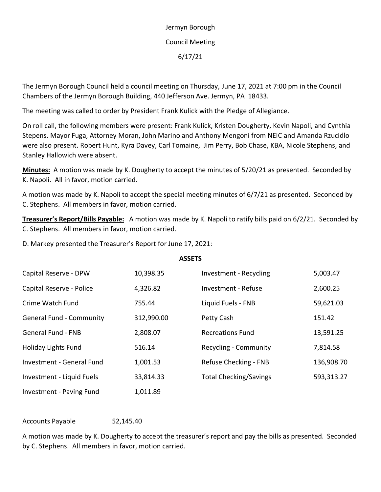# Jermyn Borough Council Meeting 6/17/21

The Jermyn Borough Council held a council meeting on Thursday, June 17, 2021 at 7:00 pm in the Council Chambers of the Jermyn Borough Building, 440 Jefferson Ave. Jermyn, PA 18433.

The meeting was called to order by President Frank Kulick with the Pledge of Allegiance.

On roll call, the following members were present: Frank Kulick, Kristen Dougherty, Kevin Napoli, and Cynthia Stepens. Mayor Fuga, Attorney Moran, John Marino and Anthony Mengoni from NEIC and Amanda Rzucidlo were also present. Robert Hunt, Kyra Davey, Carl Tomaine, Jim Perry, Bob Chase, KBA, Nicole Stephens, and Stanley Hallowich were absent.

**Minutes:** A motion was made by K. Dougherty to accept the minutes of 5/20/21 as presented. Seconded by K. Napoli. All in favor, motion carried.

A motion was made by K. Napoli to accept the special meeting minutes of 6/7/21 as presented. Seconded by C. Stephens. All members in favor, motion carried.

**Treasurer's Report/Bills Payable:** A motion was made by K. Napoli to ratify bills paid on 6/2/21. Seconded by C. Stephens. All members in favor, motion carried.

D. Markey presented the Treasurer's Report for June 17, 2021:

#### **ASSETS** Capital Reserve - DPW 10,398.35 Capital Reserve - Police 4,326.82 Crime Watch Fund 755.44 General Fund - Community 312,990.00 General Fund - FNB 2,808.07 Holiday Lights Fund 516.14 Investment - General Fund 1,001.53 Investment - Liquid Fuels 33,814.33 Investment - Paving Fund 1,011.89 Investment - Recycling 5,003.47 Investment - Refuse 2,600.25 Liquid Fuels - FNB 59,621.03 Petty Cash 151.42 Recreations Fund 13,591.25 Recycling - Community 7,814.58 Refuse Checking - FNB 136,908.70 Total Checking/Savings 593,313.27

#### Accounts Payable 52,145.40

A motion was made by K. Dougherty to accept the treasurer's report and pay the bills as presented. Seconded by C. Stephens. All members in favor, motion carried.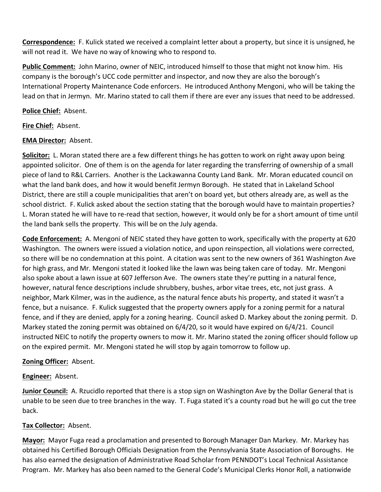**Correspondence:** F. Kulick stated we received a complaint letter about a property, but since it is unsigned, he will not read it. We have no way of knowing who to respond to.

**Public Comment:** John Marino, owner of NEIC, introduced himself to those that might not know him. His company is the borough's UCC code permitter and inspector, and now they are also the borough's International Property Maintenance Code enforcers. He introduced Anthony Mengoni, who will be taking the lead on that in Jermyn. Mr. Marino stated to call them if there are ever any issues that need to be addressed.

#### **Police Chief:** Absent.

#### **Fire Chief:** Absent.

### **EMA Director:** Absent.

**Solicitor:** L. Moran stated there are a few different things he has gotten to work on right away upon being appointed solicitor. One of them is on the agenda for later regarding the transferring of ownership of a small piece of land to R&L Carriers. Another is the Lackawanna County Land Bank. Mr. Moran educated council on what the land bank does, and how it would benefit Jermyn Borough. He stated that in Lakeland School District, there are still a couple municipalities that aren't on board yet, but others already are, as well as the school district. F. Kulick asked about the section stating that the borough would have to maintain properties? L. Moran stated he will have to re-read that section, however, it would only be for a short amount of time until the land bank sells the property. This will be on the July agenda.

**Code Enforcement:** A. Mengoni of NEIC stated they have gotten to work, specifically with the property at 620 Washington. The owners were issued a violation notice, and upon reinspection, all violations were corrected, so there will be no condemnation at this point. A citation was sent to the new owners of 361 Washington Ave for high grass, and Mr. Mengoni stated it looked like the lawn was being taken care of today. Mr. Mengoni also spoke about a lawn issue at 607 Jefferson Ave. The owners state they're putting in a natural fence, however, natural fence descriptions include shrubbery, bushes, arbor vitae trees, etc, not just grass. A neighbor, Mark Kilmer, was in the audience, as the natural fence abuts his property, and stated it wasn't a fence, but a nuisance. F. Kulick suggested that the property owners apply for a zoning permit for a natural fence, and if they are denied, apply for a zoning hearing. Council asked D. Markey about the zoning permit. D. Markey stated the zoning permit was obtained on 6/4/20, so it would have expired on 6/4/21. Council instructed NEIC to notify the property owners to mow it. Mr. Marino stated the zoning officer should follow up on the expired permit. Mr. Mengoni stated he will stop by again tomorrow to follow up.

#### **Zoning Officer:** Absent.

#### **Engineer:** Absent.

**Junior Council:** A. Rzucidlo reported that there is a stop sign on Washington Ave by the Dollar General that is unable to be seen due to tree branches in the way. T. Fuga stated it's a county road but he will go cut the tree back.

## **Tax Collector:** Absent.

**Mayor:** Mayor Fuga read a proclamation and presented to Borough Manager Dan Markey. Mr. Markey has obtained his Certified Borough Officials Designation from the Pennsylvania State Association of Boroughs. He has also earned the designation of Administrative Road Scholar from PENNDOT's Local Technical Assistance Program. Mr. Markey has also been named to the General Code's Municipal Clerks Honor Roll, a nationwide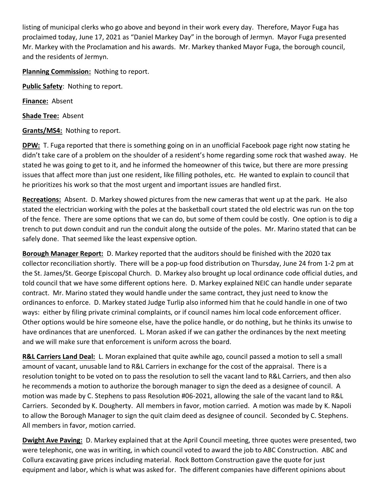listing of municipal clerks who go above and beyond in their work every day. Therefore, Mayor Fuga has proclaimed today, June 17, 2021 as "Daniel Markey Day" in the borough of Jermyn. Mayor Fuga presented Mr. Markey with the Proclamation and his awards. Mr. Markey thanked Mayor Fuga, the borough council, and the residents of Jermyn.

**Planning Commission:** Nothing to report.

**Public Safety**: Nothing to report.

**Finance:** Absent

**Shade Tree:** Absent

**Grants/MS4:** Nothing to report.

**DPW:** T. Fuga reported that there is something going on in an unofficial Facebook page right now stating he didn't take care of a problem on the shoulder of a resident's home regarding some rock that washed away. He stated he was going to get to it, and he informed the homeowner of this twice, but there are more pressing issues that affect more than just one resident, like filling potholes, etc. He wanted to explain to council that he prioritizes his work so that the most urgent and important issues are handled first.

**Recreations:** Absent. D. Markey showed pictures from the new cameras that went up at the park. He also stated the electrician working with the poles at the basketball court stated the old electric was run on the top of the fence. There are some options that we can do, but some of them could be costly. One option is to dig a trench to put down conduit and run the conduit along the outside of the poles. Mr. Marino stated that can be safely done. That seemed like the least expensive option.

**Borough Manager Report:** D. Markey reported that the auditors should be finished with the 2020 tax collector reconciliation shortly. There will be a pop-up food distribution on Thursday, June 24 from 1-2 pm at the St. James/St. George Episcopal Church. D. Markey also brought up local ordinance code official duties, and told council that we have some different options here. D. Markey explained NEIC can handle under separate contract. Mr. Marino stated they would handle under the same contract, they just need to know the ordinances to enforce. D. Markey stated Judge Turlip also informed him that he could handle in one of two ways: either by filing private criminal complaints, or if council names him local code enforcement officer. Other options would be hire someone else, have the police handle, or do nothing, but he thinks its unwise to have ordinances that are unenforced. L. Moran asked if we can gather the ordinances by the next meeting and we will make sure that enforcement is uniform across the board.

**R&L Carriers Land Deal:** L. Moran explained that quite awhile ago, council passed a motion to sell a small amount of vacant, unusable land to R&L Carriers in exchange for the cost of the appraisal. There is a resolution tonight to be voted on to pass the resolution to sell the vacant land to R&L Carriers, and then also he recommends a motion to authorize the borough manager to sign the deed as a designee of council. A motion was made by C. Stephens to pass Resolution #06-2021, allowing the sale of the vacant land to R&L Carriers. Seconded by K. Dougherty. All members in favor, motion carried. A motion was made by K. Napoli to allow the Borough Manager to sign the quit claim deed as designee of council. Seconded by C. Stephens. All members in favor, motion carried.

**Dwight Ave Paving:** D. Markey explained that at the April Council meeting, three quotes were presented, two were telephonic, one was in writing, in which council voted to award the job to ABC Construction. ABC and Collura excavating gave prices including material. Rock Bottom Construction gave the quote for just equipment and labor, which is what was asked for. The different companies have different opinions about